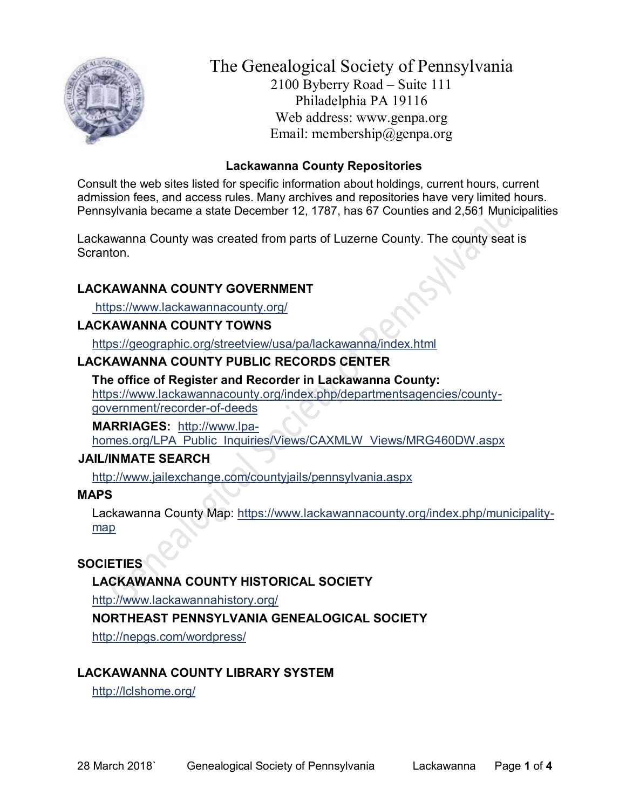

# The Genealogical Society of Pennsylvania 2100 Byberry Road – Suite 111 Philadelphia PA 19116 Web address: www.genpa.org Email: membership@genpa.org

## **Lackawanna County Repositories**

Consult the web sites listed for specific information about holdings, current hours, current admission fees, and access rules. Many archives and repositories have very limited hours. Pennsylvania became a state December 12, 1787, has 67 Counties and 2,561 Municipalities

Lackawanna County was created from parts of Luzerne County. The county seat is **Scranton** 

## **LACKAWANNA COUNTY GOVERNMENT**

<https://www.lackawannacounty.org/>

#### **LACKAWANNA COUNTY TOWNS**

<https://geographic.org/streetview/usa/pa/lackawanna/index.html>

#### **LACKAWANNA COUNTY PUBLIC RECORDS CENTER**

**The office of Register and Recorder in Lackawanna County:** [https://www.lackawannacounty.org/index.php/departmentsagencies/county](https://www.lackawannacounty.org/index.php/departmentsagencies/county-government/recorder-of-deeds)[government/recorder-of-deeds](https://www.lackawannacounty.org/index.php/departmentsagencies/county-government/recorder-of-deeds)

**MARRIAGES:** [http://www.lpa](http://www.lpa-homes.org/LPA_Public_Inquiries/Views/CAXMLW_Views/MRG460DW.aspx)[homes.org/LPA\\_Public\\_Inquiries/Views/CAXMLW\\_Views/MRG460DW.aspx](http://www.lpa-homes.org/LPA_Public_Inquiries/Views/CAXMLW_Views/MRG460DW.aspx)

#### **JAIL/INMATE SEARCH**

<http://www.jailexchange.com/countyjails/pennsylvania.aspx>

#### **MAPS**

Lackawanna County Map: [https://www.lackawannacounty.org/index.php/municipality](https://www.lackawannacounty.org/index.php/municipality-map)[map](https://www.lackawannacounty.org/index.php/municipality-map)

## **SOCIETIES**

**LACKAWANNA COUNTY HISTORICAL SOCIETY**

<http://www.lackawannahistory.org/>

## **NORTHEAST PENNSYLVANIA GENEALOGICAL SOCIETY**

<http://nepgs.com/wordpress/>

## **LACKAWANNA COUNTY LIBRARY SYSTEM**

<http://lclshome.org/>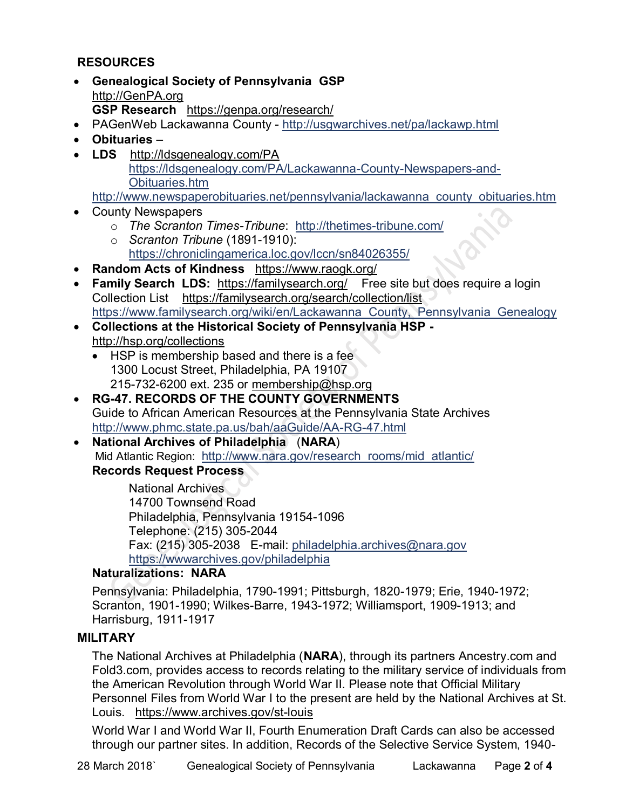## **RESOURCES**

- **Genealogical Society of Pennsylvania GSP** [http://GenPA.org](http://genpa.org/) **GSP Research** <https://genpa.org/research/>
- PAGenWeb Lackawanna County <http://usgwarchives.net/pa/lackawp.html>
- **Obituaries** –
- **LDS** <http://ldsgenealogy.com/PA> [https://ldsgenealogy.com/PA/Lackawanna-County-Newspapers-and-](https://ldsgenealogy.com/PA/Lackawanna-County-Newspapers-and-Obituaries.htm)[Obituaries.htm](https://ldsgenealogy.com/PA/Lackawanna-County-Newspapers-and-Obituaries.htm)

## [http://www.newspaperobituaries.net/pennsylvania/lackawanna\\_county\\_obituaries.htm](http://www.newspaperobituaries.net/pennsylvania/lackawanna_county_obituaries.htm)

- County Newspapers
	- o *The Scranton Times-Tribune*: <http://thetimes-tribune.com/>
	- o *Scranton Tribune* (1891-1910): <https://chroniclingamerica.loc.gov/lccn/sn84026355/>
- **Random Acts of Kindness** <https://www.raogk.org/>
- **Family Search LDS:** <https://familysearch.org/>Free site but does require a login Collection List <https://familysearch.org/search/collection/list> https://www.familysearch.org/wiki/en/Lackawanna County, Pennsylvania Genealogy
- **Collections at the Historical Society of Pennsylvania HSP**  <http://hsp.org/collections>
	- HSP is membership based and there is a fee 1300 Locust Street, Philadelphia, PA 19107 215-732-6200 ext. 235 or [membership@hsp.org](mailto:membership@hsp.org)
- **RG-47. RECORDS OF THE COUNTY GOVERNMENTS** Guide to African American Resources at the Pennsylvania State Archives <http://www.phmc.state.pa.us/bah/aaGuide/AA-RG-47.html>
- **National Archives of Philadelphia** (**NARA**) Mid Atlantic Region: [http://www.nara.gov/research\\_rooms/mid\\_atlantic/](http://www.nara.gov/research_rooms/mid_atlantic/) **Records Request Process**

National Archives 14700 Townsend Road Philadelphia, Pennsylvania 19154-1096 Telephone: (215) 305-2044 Fax: (215) 305-2038 E-mail: [philadelphia.archives@nara.gov](mailto:philadelphia.archives@nara.gov) <https://wwwarchives.gov/philadelphia>

## **Naturalizations: NARA**

Pennsylvania: Philadelphia, 1790-1991; Pittsburgh, 1820-1979; Erie, 1940-1972; Scranton, 1901-1990; Wilkes-Barre, 1943-1972; Williamsport, 1909-1913; and Harrisburg, 1911-1917

## **MILITARY**

The National Archives at Philadelphia (**NARA**), through its partners Ancestry.com and Fold3.com, provides access to records relating to the military service of individuals from the American Revolution through World War II. Please note that Official Military Personnel Files from World War I to the present are held by the National Archives at St. Louis. <https://www.archives.gov/st-louis>

World War I and World War II, Fourth Enumeration Draft Cards can also be accessed through our partner sites. In addition, Records of the Selective Service System, 1940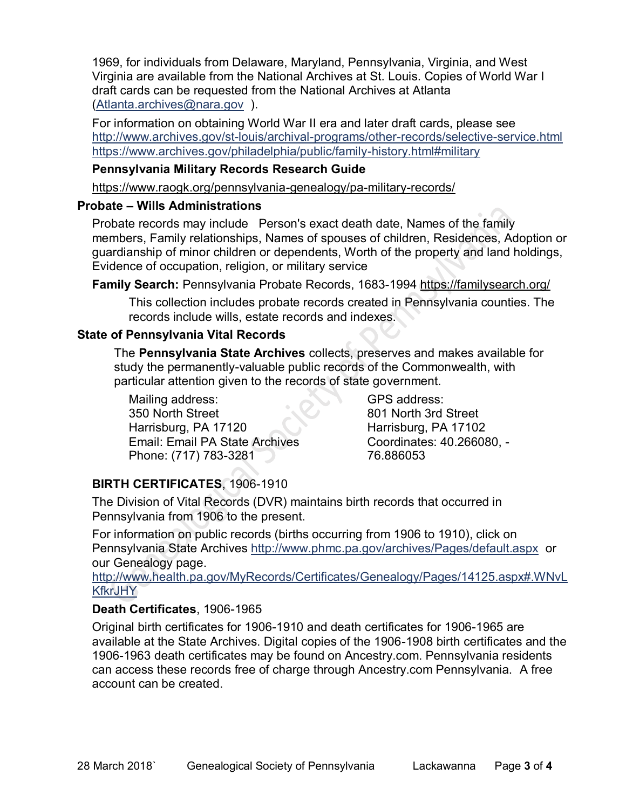1969, for individuals from Delaware, Maryland, Pennsylvania, Virginia, and West Virginia are available from the National Archives at St. Louis. Copies of World War I draft cards can be requested from the National Archives at Atlanta [\(Atlanta.archives@nara.gov](mailto:Atlanta.archives@nara.gov) ).

For information on obtaining World War II era and later draft cards, please see <http://www.archives.gov/st-louis/archival-programs/other-records/selective-service.html> <https://www.archives.gov/philadelphia/public/family-history.html#military>

#### **Pennsylvania Military Records Research Guide**

<https://www.raogk.org/pennsylvania-genealogy/pa-military-records/>

#### **Probate – Wills Administrations**

Probate records may include Person's exact death date, Names of the family members, Family relationships, Names of spouses of children, Residences, Adoption or guardianship of minor children or dependents, Worth of the property and land holdings, Evidence of occupation, religion, or military service

**Family Search:** Pennsylvania Probate Records, 1683-1994 <https://familysearch.org/>

This collection includes probate records created in Pennsylvania counties. The records include wills, estate records and indexes.

#### **State of Pennsylvania Vital Records**

The **Pennsylvania State Archives** collects, preserves and makes available for study the permanently-valuable public records of the Commonwealth, with particular attention given to the records of state government.

Mailing address: 350 North Street Harrisburg, PA 17120 Email: Email PA State Archives Phone: (717) 783-3281

GPS address: 801 North 3rd Street Harrisburg, PA 17102 Coordinates: 40.266080, - 76.886053

## **BIRTH CERTIFICATES**, 1906-1910

The Division of Vital Records (DVR) maintains birth records that occurred in Pennsylvania from 1906 to the present.

For information on public records (births occurring from 1906 to 1910), click on Pennsylvania State Archives <http://www.phmc.pa.gov/archives/Pages/default.aspx>or our Genealogy page.

[http://www.health.pa.gov/MyRecords/Certificates/Genealogy/Pages/14125.aspx#.WNvL](http://www.health.pa.gov/MyRecords/Certificates/Genealogy/Pages/14125.aspx#.WNvLKfkrJHY) **[KfkrJHY](http://www.health.pa.gov/MyRecords/Certificates/Genealogy/Pages/14125.aspx#.WNvLKfkrJHY)** 

## **Death Certificates**, 1906-1965

Original birth certificates for 1906-1910 and death certificates for 1906-1965 are available at the State Archives. Digital copies of the 1906-1908 birth certificates and the 1906-1963 death certificates may be found on Ancestry.com. Pennsylvania residents can access these records free of charge through Ancestry.com Pennsylvania. A free account can be created.